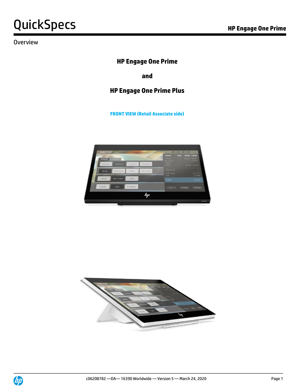### **Overview**

## **HP Engage One Prime**

**and** 

### **HP Engage One Prime Plus**

**FRONT VIEW (Retail Associate side)**





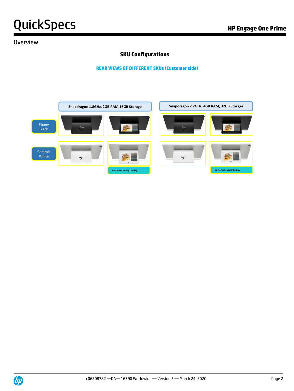#### Overview

#### **SKU Configurations**

**REAR VIEWS OF DIFFERENT SKUs (Customer side)**



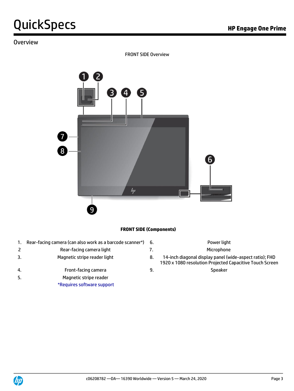#### Overview

FRONT SIDE Overview



#### **FRONT SIDE (Components)**

- 1. Rear-facing camera (can also work as a barcode scanner\*) 6. Power light
- 2 Rear-facing camera light 7. The Microphone
- 
- 4. Front-facing camera 9. Speaker
- 5. Magnetic stripe reader
	- \*Requires software support
- -
- 3. Magnetic stripe reader light 8. 14-inch diagonal display panel (wide-aspect ratio); FHD 1920 x 1080 resolution Projected Capacitive Touch Screen
	-

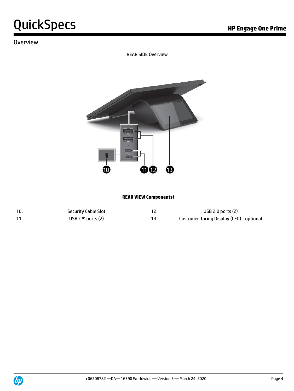### **Overview**

REAR SIDE Overview



#### **REAR VIEW Components)**

| 10. | <b>Security Cable Slot</b> | USB 2.0 ports $(2)$                      |
|-----|----------------------------|------------------------------------------|
|     | USB-C™ ports $(2)$         | Customer-facing Display (CFD) - optional |

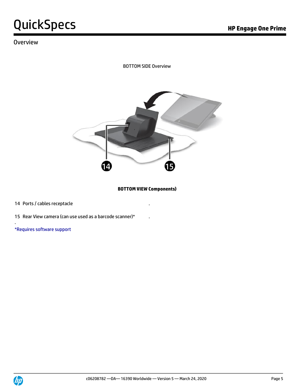### **Overview**

BOTTOM SIDE Overview



**BOTTOM VIEW Components)**

14 Ports / cables receptacle

15 Rear View camera (can use used as a barcode scanner)\* .

\*Requires software support

.

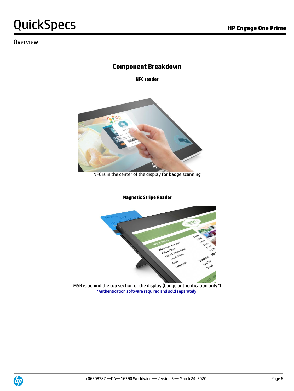### Overview

## **Component Breakdown**

**NFC reader**



NFC is in the center of the display for badge scanning

**Magnetic Stripe Reader**



MSR is behind the top section of the display (badge authentication only\*) \*Authentication software required and sold separately.

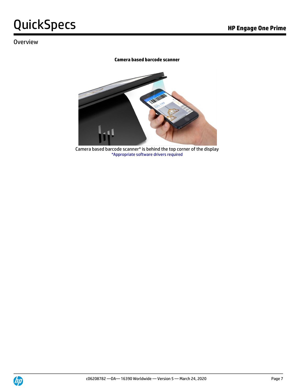### **Overview**

#### **Camera based barcode scanner**



Camera based barcode scanner\* is behind the top corner of the display \*Appropriate software drivers required

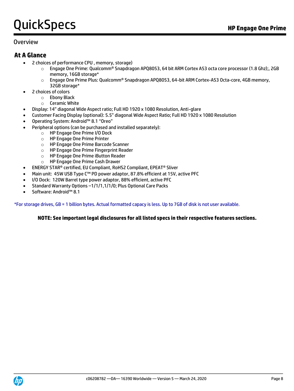#### Overview

#### **At A Glance**

- 2 choices of performance CPU , memory, storage)
	- o Engage One Prime: Qualcomm® Snapdragon APQ8053, 64 bit ARM Cortex A53 octa core processor (1.8 Ghz);, 2GB memory, 16GB storage\*
		- $\circ$  Engage One Prime Plus: Qualcomm® Snapdragon APQ8053, 64-bit ARM Cortex-A53 Octa-core, 4GB memory, 32GB storage\*
- 2 choices of colors
	- o Ebony Black
	- o Ceramic White
- Display: 14" diagonal Wide Aspect ratio; Full HD 1920 x 1080 Resolution, Anti-glare
- Customer Facing Display (optional): 5.5" diagonal Wide Aspect Ratio; Full HD 1920 x 1080 Resolution
- Operating System: Android™ 8.1 "Oreo"
- Peripheral options (can be purchased and installed separately):
	- o HP Engage One Prime I/O Dock
	- o HP Engage One Prime Printer
	- o HP Engage One Prime Barcode Scanner
	- o HP Engage One Prime Fingerprint Reader
	- o HP Engage One Prime iButton Reader
	- o HP Engage One Prime Cash Drawer
- ENERGY STAR® certified, EU Compliant, RoHS2 Compliant, EPEAT® Sliver
- Main unit: 45W USB Type C™ PD power adaptor, 87.8% efficient at 15V, active PFC
- I/O Dock: 120W Barrel type power adaptor, 88% efficient, active PFC
- Standard Warranty Options –1/1/1,1/1/0; Plus Optional Care Packs
- Software: Android™ 8.1

\*For storage drives, GB = 1 billion bytes. Actual formatted capacy is less. Up to 7GB of disk is not user available.

#### **NOTE: See important legal disclosures for all listed specs in their respective features sections.**

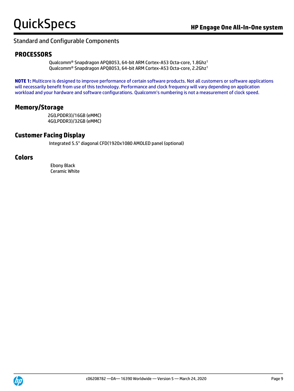#### Standard and Configurable Components

#### **PROCESSORS**

Qualcomm® Snapdragon APQ8053, 64-bit ARM Cortex-A53 Octa-core, 1.8Ghz<sup>1</sup> Qualcomm® Snapdragon APQ8053, 64-bit ARM Cortex-A53 Octa-core, 2.2Ghz<sup>1</sup>

**NOTE 1:** Multicore is designed to improve performance of certain software products. Not all customers or software applications will necessarily benefit from use of this technology. Performance and clock frequency will vary depending on application workload and your hardware and software configurations. Qualcomm's numbering is not a measurement of clock speed.

#### **Memory/Storage**

2G(LPDDR3)/16GB (eMMC) 4G(LPDDR3)/32GB (eMMC)

#### **Customer Facing Display**

Integrated 5.5" diagonal CFD(1920x1080 AMOLED panel (optional)

#### **Colors**

Ebony Black Ceramic White

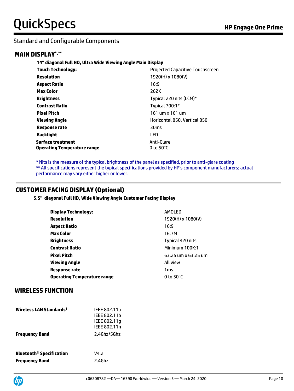#### Standard and Configurable Components

#### **MAIN DISPLAY\*,\*\***

**14" diagonal Full HD, Ultra Wide Viewing Angle Main Display**

| <b>Touch Technology:</b>           | <b>Projected Capacitive Touchscreen</b> |
|------------------------------------|-----------------------------------------|
| Resolution                         | 1920(H) x 1080(V)                       |
| <b>Aspect Ratio</b>                | 16:9                                    |
| <b>Max Color</b>                   | 262K                                    |
| <b>Brightness</b>                  | Typical 220 nits (LCM)*                 |
| <b>Contrast Ratio</b>              | Typical $700:1*$                        |
| <b>Pixel Pitch</b>                 | 161 um x 161 um                         |
| Viewing Angle                      | Horizontal 850, Vertical 850            |
| <b>Response rate</b>               | 30 <sub>ms</sub>                        |
| <b>Backlight</b>                   | LED                                     |
| <b>Surface treatment</b>           | Anti-Glare                              |
| <b>Operating Temperature range</b> | 0 to $50^{\circ}$ C                     |

**\*** Nits is the measure of the typical brightness of the panel as specified, prior to anti-glare coating \*\* All specifications represent the typical specifications provided by HP's component manufacturers; actual performance may vary either higher or lower.

#### **CUSTOMER FACING DISPLAY (Optional)**

**5.5" diagonal Full HD, Wide Viewing Angle Customer Facing Display** 

| <b>Display Technology:</b>         | AMOLED                   |
|------------------------------------|--------------------------|
| <b>Resolution</b>                  | $1920(H) \times 1080(V)$ |
| <b>Aspect Ratio</b>                | 16:9                     |
| <b>Max Color</b>                   | 16.7M                    |
| <b>Brightness</b>                  | Typical 420 nits         |
| <b>Contrast Ratio</b>              | Minimum 100K:1           |
| <b>Pixel Pitch</b>                 | 63.25 um x 63.25 um      |
| Viewing Angle                      | All view                 |
| Response rate                      | 1ms                      |
| <b>Operating Temperature range</b> | 0 to $50^{\circ}$ C      |

#### **WIRELESS FUNCTION**

| Wireless LAN Standards <sup>1</sup>        | IEEE 802.11a<br><b>IEEE 802.11b</b><br>IEEE 802.11q<br>IEEE 802.11n |
|--------------------------------------------|---------------------------------------------------------------------|
| <b>Frequency Band</b>                      | 2.4Ghz/5Ghz                                                         |
|                                            |                                                                     |
| <b>Bluetooth<sup>®</sup> Specification</b> | V4.2                                                                |
| <b>Frequency Band</b>                      | 2.4GHz                                                              |

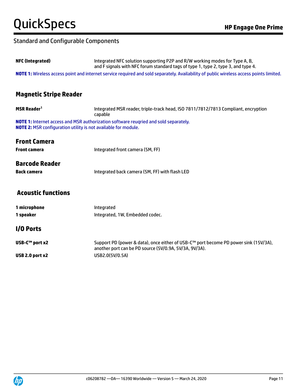### Standard and Configurable Components

| <b>NFC (Integrated)</b>                                               | Integrated NFC solution supporting P2P and R/W working modes for Type A, B,<br>and F signals with NFC forum standard tags of type 1, type 2, type 3, and type 4. |  |
|-----------------------------------------------------------------------|------------------------------------------------------------------------------------------------------------------------------------------------------------------|--|
|                                                                       | NOTE 1: Wireless access point and internet service required and sold separately. Availability of public wireless access points limited.                          |  |
| <b>Magnetic Stripe Reader</b>                                         |                                                                                                                                                                  |  |
| <b>MSR Reader<sup>1</sup></b>                                         | Integrated MSR reader, triple-track head, ISO 7811/7812/7813 Compliant, encryption<br>capable                                                                    |  |
| <b>NOTE 2: MSR configuration utility is not available for module.</b> | NOTE 1: Internet access and MSR authorization software reugried and sold separately.                                                                             |  |
| <b>Front Camera</b>                                                   |                                                                                                                                                                  |  |
| <b>Front camera</b>                                                   | Integrated front camera (5M, FF)                                                                                                                                 |  |
| <b>Barcode Reader</b>                                                 |                                                                                                                                                                  |  |
| <b>Back camera</b>                                                    | Integrated back camera (5M, FF) with flash LED                                                                                                                   |  |
| <b>Acoustic functions</b>                                             |                                                                                                                                                                  |  |
| 1 microphone                                                          | Integrated                                                                                                                                                       |  |
| 1 speaker                                                             | Integrated, 1W, Embedded codec.                                                                                                                                  |  |
| I/O Ports                                                             |                                                                                                                                                                  |  |
| USB-C™ port x2                                                        | Support PD (power & data), once either of USB-C™ port become PD power sink (15V/3A),<br>another port can be PD source (5V/0.9A, 5V/3A, 9V/3A).                   |  |
| USB 2.0 port x2                                                       | USB2.0(5V/0.5A)                                                                                                                                                  |  |
|                                                                       |                                                                                                                                                                  |  |

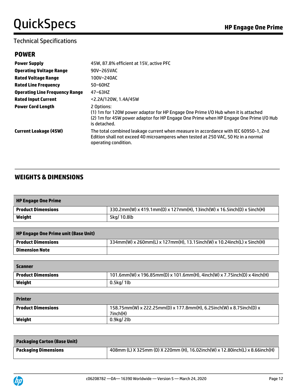| <b>Power Supply</b>                   | 45W, 87.8% efficient at 15V, active PFC                                                                                                                                                                  |
|---------------------------------------|----------------------------------------------------------------------------------------------------------------------------------------------------------------------------------------------------------|
| <b>Operating Voltage Range</b>        | 90V~265VAC                                                                                                                                                                                               |
| <b>Rated Voltage Range</b>            | 100V~240AC                                                                                                                                                                                               |
| <b>Rated Line Frequency</b>           | $50~60$ HZ                                                                                                                                                                                               |
| <b>Operating Line Frequency Range</b> | $47 - 63$ HZ                                                                                                                                                                                             |
| <b>Rated Input Current</b>            | <2.2A/120W, 1.4A/45W                                                                                                                                                                                     |
| <b>Power Cord Length</b>              | 2 Options:<br>(1) 1m for 120W power adaptor for HP Engage One Prime I/O Hub when it is attached<br>(2) 1m for 45W power adaptor for HP Engage One Prime when HP Engage One Prime I/O Hub<br>is detached. |
| <b>Current Leakage (45W)</b>          | The total combined leakage current when measure in accordance with IEC 60950-1, 2nd<br>Edition shall not exceed 40 microamperes when tested at 250 VAC, 50 Hz in a normal<br>operating condition.        |

### **WEIGHTS & DIMENSIONS**

| <b>HP Engage One Prime</b> |                                                                        |
|----------------------------|------------------------------------------------------------------------|
| <b>Product Dimensions</b>  | 330.2mm(W) x 419.1mm(D) x 127mm(H), 13inch(W) x 16.5inch(D) x 5inch(H) |
| Weight                     | 5kg/10.8lb                                                             |

| <b>HP Engage One Prime unit (Base Unit)</b> |                                                                        |
|---------------------------------------------|------------------------------------------------------------------------|
| <b>Product Dimensions</b>                   | 334mm(W) x 260mm(L) x 127mm(H), 13.15inch(W) x 10.24inch(L) x 5inch(H) |
| <b>Dimension Note</b>                       |                                                                        |

| Scanner                   |                                                                          |
|---------------------------|--------------------------------------------------------------------------|
| <b>Product Dimensions</b> | 101.6mm(W) x 196.85mm(D) x 101.6mm(H), 4inch(W) x 7.75inch(D) x 4inch(H) |
| Weight                    | $0.5$ kg/1lb                                                             |

| <b>Printer</b>            |                                                                     |
|---------------------------|---------------------------------------------------------------------|
| <b>Product Dimensions</b> | 158.75mm(W) x 222.25mm(D) x 177.8mm(H), 6.25inch(W) x 8.75inch(D) x |
|                           | 7inch(H)                                                            |
| Weight                    | $0.9$ kg/ 2lb                                                       |

| <b>Packaging Carton (Base Unit)</b> |                                                                              |
|-------------------------------------|------------------------------------------------------------------------------|
| <b>Packaging Dimensions</b>         | 408mm (L) X 325mm (D) X 220mm (H), 16.02inch(W) x 12.80inch(L) x 8.66inch(H) |

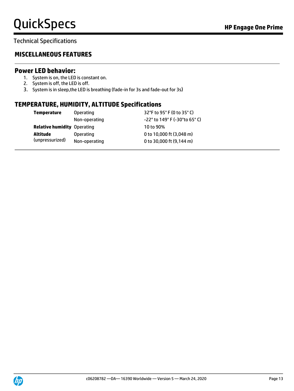### Technical Specifications

#### **MISCELLANEOUS FEATURES**

#### **Power LED behavior:**

- 1. System is on, the LED is constant on.
- 2. System is off, the LED is off.
- 3. System is in sleep,the LED is breathing (fade-in for 3s and fade-out for 3s)

#### **TEMPERATURE, HUMIDITY, ALTITUDE Specifications**

| Temperature                        | <b>Operating</b> | 32°F to 95°F (0 to 35°C)       |
|------------------------------------|------------------|--------------------------------|
|                                    | Non-operating    | -22° to 149° F (-30° to 65° C) |
| <b>Relative humidity Operating</b> |                  | 10 to 90%                      |
| Altitude                           | <b>Operating</b> | 0 to 10,000 ft (3,048 m)       |
| (unpressurized)                    | Non-operating    | 0 to 30,000 ft (9,144 m)       |

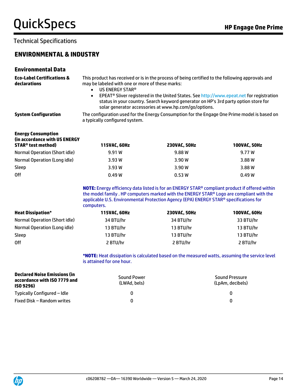### Technical Specifications

### **ENVIRONMENTAL & INDUSTRY**

#### **Environmental Data**

| <b>Eco-Label Certifications &amp;</b> | This product has received or is in the process of being certified to the following approvals and |
|---------------------------------------|--------------------------------------------------------------------------------------------------|
| declarations                          | may be labeled with one or more of these marks:                                                  |
|                                       | US ENERGY STAR®                                                                                  |

• EPEAT® Sliver registered in the United States. Se[e http://www.epeat.net](http://www.epeat.net/) for registration status in your country. Search keyword generator on HP's 3rd party option store for solar generator accessories at www.hp.com/go/options.

**Energy Consumption**

**System Configuration** The configuration used for the Energy Consumption for the Engage One Prime model is based on a typically configured system.

| (in accordance with US ENERGY |              |                     |                     |
|-------------------------------|--------------|---------------------|---------------------|
| <b>STAR®</b> test method)     | 115VAC, 60Hz | <b>230VAC. 50Hz</b> | <b>100VAC, 50Hz</b> |
| Normal Operation (Short idle) | 9.91W        | 9.88 W              | 9.77 W              |
| Normal Operation (Long idle)  | 3.93W        | 3.90 W              | 3.88 W              |
| Sleep                         | 3.93W        | 3.90 W              | 3.88 W              |
| <b>Off</b>                    | 0.49W        | 0.53W               | 0.49W               |

**NOTE:** Energy efficiency data listed is for an ENERGY STAR® compliant product if offered within the model family . HP computers marked with the ENERGY STAR® Logo are compliant with the applicable U.S. Environmental Protection Agency (EPA) ENERGY STAR® specifications for computers.

| <b>Heat Dissipation*</b>      | 115VAC, 60Hz | <b>230VAC. 50Hz</b> | <b>100VAC, 60Hz</b> |
|-------------------------------|--------------|---------------------|---------------------|
| Normal Operation (Short idle) | 34 BTU/hr    | 34 BTU/hr           | 33 BTU/hr           |
| Normal Operation (Long idle)  | 13 BTU/hr    | 13 BTU/hr           | 13 BTU/hr           |
| Sleep                         | 13 BTU/hr    | 13 BTU/hr           | 13 BTU/hr           |
| 0ff                           | 2 BTU/hr     | 2 BTU/hr            | 2 BTU/hr            |

**\*NOTE:** Heat dissipation is calculated based on the measured watts, assuming the service level is attained for one hour.

| Declared Noise Emissions (in<br>accordance with ISO 7779 and<br>ISO 9296) | <b>Sound Power</b><br>(LWAd. bels) | <b>Sound Pressure</b><br>(LpAm, decibels) |
|---------------------------------------------------------------------------|------------------------------------|-------------------------------------------|
| Typically Configured – Idle                                               |                                    |                                           |
| Fixed Disk – Random writes                                                |                                    |                                           |

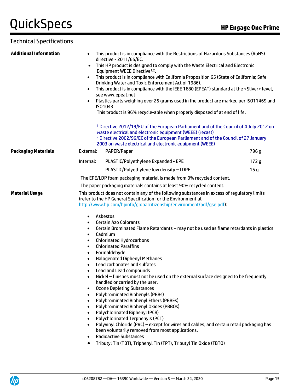Technical Specifications

| <b>Additional Information</b> | $\bullet$                                                                                                                                                                                                                                                                                                                                                                                                                                                                                                                                                                                                                                                                                                                                                                                                                                                                                                                                                                                                                                                                                                                                                                                                                                                                                                                                                                                                                                        | This product is in compliance with the Restrictions of Hazardous Substances (RoHS)<br>directive - 2011/65/EC.<br>This HP product is designed to comply with the Waste Electrical and Electronic<br>Equipment WEEE Directive <sup>1,2</sup> .<br>This product is in compliance with California Proposition 65 (State of California; Safe<br>Drinking Water and Toxic Enforcement Act of 1986).<br>This product is in compliance with the IEEE 1680 (EPEAT) standard at the <sliver> level,<br/>see www.epeat.net<br/>Plastics parts weighing over 25 grams used in the product are marked per ISO11469 and<br/>IS01043.<br/>This product is 96% recycle-able when properly disposed of at end of life.</sliver> |       |
|-------------------------------|--------------------------------------------------------------------------------------------------------------------------------------------------------------------------------------------------------------------------------------------------------------------------------------------------------------------------------------------------------------------------------------------------------------------------------------------------------------------------------------------------------------------------------------------------------------------------------------------------------------------------------------------------------------------------------------------------------------------------------------------------------------------------------------------------------------------------------------------------------------------------------------------------------------------------------------------------------------------------------------------------------------------------------------------------------------------------------------------------------------------------------------------------------------------------------------------------------------------------------------------------------------------------------------------------------------------------------------------------------------------------------------------------------------------------------------------------|----------------------------------------------------------------------------------------------------------------------------------------------------------------------------------------------------------------------------------------------------------------------------------------------------------------------------------------------------------------------------------------------------------------------------------------------------------------------------------------------------------------------------------------------------------------------------------------------------------------------------------------------------------------------------------------------------------------|-------|
|                               |                                                                                                                                                                                                                                                                                                                                                                                                                                                                                                                                                                                                                                                                                                                                                                                                                                                                                                                                                                                                                                                                                                                                                                                                                                                                                                                                                                                                                                                  | <sup>1</sup> Directive 2012/19/EU of the European Parliament and of the Council of 4 July 2012 on<br>waste electrical and electronic equipment (WEEE) (recast)<br><sup>2</sup> Directive 2002/96/EC of the European Parliament and of the Council of 27 January<br>2003 on waste electrical and electronic equipment (WEEE)                                                                                                                                                                                                                                                                                                                                                                                    |       |
| <b>Packaging Materials</b>    | External:                                                                                                                                                                                                                                                                                                                                                                                                                                                                                                                                                                                                                                                                                                                                                                                                                                                                                                                                                                                                                                                                                                                                                                                                                                                                                                                                                                                                                                        | PAPER/Paper                                                                                                                                                                                                                                                                                                                                                                                                                                                                                                                                                                                                                                                                                                    | 796 g |
|                               | Internal:                                                                                                                                                                                                                                                                                                                                                                                                                                                                                                                                                                                                                                                                                                                                                                                                                                                                                                                                                                                                                                                                                                                                                                                                                                                                                                                                                                                                                                        | PLASTIC/Polyethylene Expanded - EPE                                                                                                                                                                                                                                                                                                                                                                                                                                                                                                                                                                                                                                                                            | 172g  |
|                               |                                                                                                                                                                                                                                                                                                                                                                                                                                                                                                                                                                                                                                                                                                                                                                                                                                                                                                                                                                                                                                                                                                                                                                                                                                                                                                                                                                                                                                                  | PLASTIC/Polyethylene low density - LDPE                                                                                                                                                                                                                                                                                                                                                                                                                                                                                                                                                                                                                                                                        | 15 g  |
|                               |                                                                                                                                                                                                                                                                                                                                                                                                                                                                                                                                                                                                                                                                                                                                                                                                                                                                                                                                                                                                                                                                                                                                                                                                                                                                                                                                                                                                                                                  | The EPE/LDP foam packaging material is made from 0% recycled content.                                                                                                                                                                                                                                                                                                                                                                                                                                                                                                                                                                                                                                          |       |
|                               |                                                                                                                                                                                                                                                                                                                                                                                                                                                                                                                                                                                                                                                                                                                                                                                                                                                                                                                                                                                                                                                                                                                                                                                                                                                                                                                                                                                                                                                  | The paper packaging materials contains at least 90% recycled content.                                                                                                                                                                                                                                                                                                                                                                                                                                                                                                                                                                                                                                          |       |
| <b>Material Usage</b>         |                                                                                                                                                                                                                                                                                                                                                                                                                                                                                                                                                                                                                                                                                                                                                                                                                                                                                                                                                                                                                                                                                                                                                                                                                                                                                                                                                                                                                                                  |                                                                                                                                                                                                                                                                                                                                                                                                                                                                                                                                                                                                                                                                                                                |       |
|                               | This product does not contain any of the following substances in excess of regulatory limits<br>(refer to the HP General Specification for the Environment at<br>http://www.hp.com/hpinfo/globalcitizenship/environment/pdf/gse.pdf):<br>Asbestos<br>$\bullet$<br><b>Certain Azo Colorants</b><br>$\bullet$<br>Certain Brominated Flame Retardants - may not be used as flame retardants in plastics<br>$\bullet$<br>Cadmium<br>$\bullet$<br><b>Chlorinated Hydrocarbons</b><br>$\bullet$<br><b>Chlorinated Paraffins</b><br>$\bullet$<br>Formaldehyde<br>$\bullet$<br><b>Halogenated Diphenyl Methanes</b><br>Lead carbonates and sulfates<br>٠<br>Lead and Lead compounds<br>Nickel - finishes must not be used on the external surface designed to be frequently<br>handled or carried by the user.<br><b>Ozone Depleting Substances</b><br>$\bullet$<br><b>Polybrominated Biphenyls (PBBs)</b><br>$\bullet$<br><b>Polybrominated Biphenyl Ethers (PBBEs)</b><br>$\bullet$<br>Polybrominated Biphenyl Oxides (PBBOs)<br>$\bullet$<br><b>Polychlorinated Biphenyl (PCB)</b><br>$\bullet$<br><b>Polychlorinated Terphenyls (PCT)</b><br>$\bullet$<br>Polyvinyl Chloride (PVC) - except for wires and cables, and certain retail packaging has<br>$\bullet$<br>been voluntarily removed from most applications.<br><b>Radioactive Substances</b><br>$\bullet$<br>Tributyl Tin (TBT), Triphenyl Tin (TPT), Tributyl Tin Oxide (TBTO)<br>$\bullet$ |                                                                                                                                                                                                                                                                                                                                                                                                                                                                                                                                                                                                                                                                                                                |       |

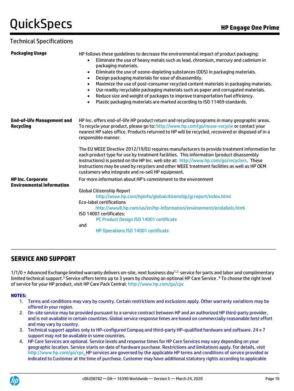#### Technical Specifications

| <b>Packaging Usage</b>                                       | HP follows these guidelines to decrease the environmental impact of product packaging:<br>Eliminate the use of heavy metals such as lead, chromium, mercury and cadmium in<br>packaging materials.<br>Eliminate the use of ozone-depleting substances (ODS) in packaging materials.<br>$\bullet$<br>Design packaging materials for ease of disassembly.<br>$\bullet$<br>Maximize the use of post-consumer recycled content materials in packaging materials.<br>$\bullet$<br>Use readily recyclable packaging materials such as paper and corrugated materials.<br>$\bullet$<br>Reduce size and weight of packages to improve transportation fuel efficiency.<br>$\bullet$<br>Plastic packaging materials are marked according to ISO 11469 standards. |
|--------------------------------------------------------------|--------------------------------------------------------------------------------------------------------------------------------------------------------------------------------------------------------------------------------------------------------------------------------------------------------------------------------------------------------------------------------------------------------------------------------------------------------------------------------------------------------------------------------------------------------------------------------------------------------------------------------------------------------------------------------------------------------------------------------------------------------|
| <b>End-of-life Management and</b><br><b>Recycling</b>        | HP Inc. offers end-of-life HP product return and recycling programs in many geographic areas.<br>To recycle your product, please go to: http://www.hp.com/go/reuse-recycle or contact your<br>nearest HP sales office. Products returned to HP will be recycled, recovered or disposed of in a<br>responsible manner.                                                                                                                                                                                                                                                                                                                                                                                                                                  |
|                                                              | The EU WEEE Directive 2012/19/EU requires manufacturers to provide treatment information for<br>each product type for use by treatment facilities. This information (product disassembly<br>instructions) is posted on the HP Inc. web site at: http://www.hp.com/go/recyclers. These<br>instructions may be used by recyclers and other WEEE treatment facilities as well as HP OEM<br>customers who integrate and re-sell HP equipment.                                                                                                                                                                                                                                                                                                              |
| <b>HP Inc. Corporate</b><br><b>Environmental Information</b> | For more information about HP's commitment to the environment                                                                                                                                                                                                                                                                                                                                                                                                                                                                                                                                                                                                                                                                                          |
|                                                              | <b>Global Citizenship Report</b><br>http://www.hp.com/hpinfo/globalcitizenship/gcreport/index.html<br><b>Eco-label certifications</b><br>http://www8.hp.com/us/en/hp-information/environment/ecolabels.html<br>ISO 14001 certificates:<br>PC Product Design ISO 14001 certificate<br>and<br>HP Operations ISO 14001 certificate                                                                                                                                                                                                                                                                                                                                                                                                                        |
|                                                              |                                                                                                                                                                                                                                                                                                                                                                                                                                                                                                                                                                                                                                                                                                                                                        |

#### **SERVICE AND SUPPORT**

 $1/1/0$  + Advanced Exchange limited warranty delivers on-site, next business day<sup>1,2</sup> service for parts and labor and complimentary limited technical support.<sup>3</sup> Service offers terms up to 3 years by choosing an optional HP Care Service .<sup>4</sup> To choose the right level of service for your HP product, visit HP Care Pack Central: http://www.hp.com/go/cpc

#### **NOTES:**

- 1. Terms and conditions may vary by country. Certain restrictions and exclusions apply. Other warranty variations may be offered in your region.
- 2. On-site service may be provided pursuant to a service contract between HP and an authorized HP third-party provider, and is not available in certain countries. Global service response times are based on commercially reasonable best effort and may vary by country.
- 3. Technical support applies only to HP-configured Compaq and third-party HP-qualified hardware and software. 24 x 7 support may not be available in some countries.
- 4. HP Care Services are optional. Service levels and response times for HP Care Services may vary depending on your geographic location. Service starts on date of hardware purchase. Restrictions and limitations apply. For details, visit http://www.hp.com/go/cpc. HP services are governed by the applicable HP terms and conditions of service provided or indicated to Customer at the time of purchase. Customer may have additional statutory rights according to applicable

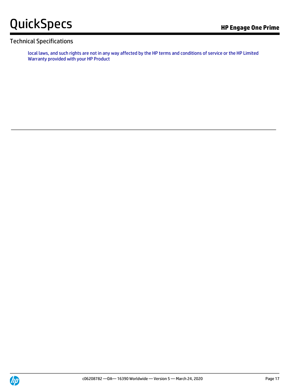#### Technical Specifications

local laws, and such rights are not in any way affected by the HP terms and conditions of service or the HP Limited Warranty provided with your HP Product

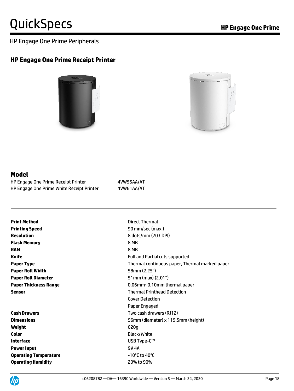#### HP Engage One Prime Peripherals

#### **HP Engage One Prime Receipt Printer**





#### **Model**

| <b>HP Engage One Prime Receipt Printer</b> | 4VW55AA/AT |
|--------------------------------------------|------------|
| HP Engage One Prime White Receipt Printer  | 4VW61AA/AT |

| <b>Print Method</b>        | Direc           |
|----------------------------|-----------------|
| <b>Printing Speed</b>      | 90 m            |
| Resolution                 | 8 dot           |
| <b>Flash Memory</b>        | 8 MB            |
| <b>RAM</b>                 | 8 MB            |
| Knife                      | Full a          |
| <b>Paper Type</b>          | Theri           |
| <b>Paper Roll Width</b>    | 58m             |
| <b>Paper Roll Diameter</b> | 51 <sub>m</sub> |
| Paper Thickness Range      | 0.06            |
| Sensor                     | Theri           |
|                            |                 |

## **Weight** 620g **Color** Black/White **Interface** USB Type-C™ **Power Input** 9V 4A **Operating Temperature CONSERVIAGE ACCORDING THE EXECUTIVE OPERATOR CONSUMING THE EXECUTIVE OPERATOR CONSUMING T Operating Humidity** 20% to 90%

**Pirect Thermal 90 mm/sec (max.) Resolution** 8 dots/mm (203 DPI) **Full and Partial cuts supported** Thermal continuous paper, Thermal marked paper **58mm (2.25") 51mm (max) (2.01") Paper Thickness Range** 0.06mm~0.10mm thermal paper **Thermal Printhead Detection** Cover Detection Paper Engaged **Cash Drawers Cash Drawers Cash drawers** (RJ12) **Dimensions** 96mm (diameter) x 119.5mm (height)

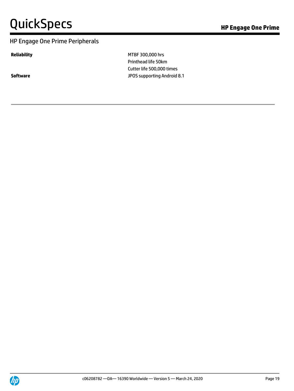#### HP Engage One Prime Peripherals

**Reliability** MTBF 300,000 hrs Printhead life 50km Cutter life 500,000 times **Software Software JPOS** supporting Android 8.1

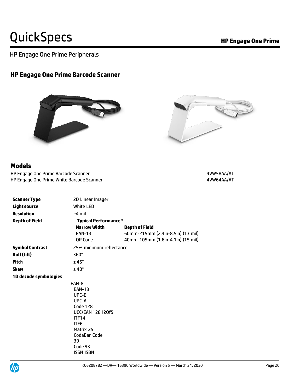HP Engage One Prime Peripherals

## **HP Engage One Prime Barcode Scanner**





#### **Models**

HP Engage One Prime Barcode Scanner 4VW58AA/AT HP Engage One Prime White Barcode Scanner 4VW64AA/AT

| <b>Scanner Type</b>    | 2D Linear Imager             |                                   |
|------------------------|------------------------------|-----------------------------------|
| <b>Light source</b>    | White LED                    |                                   |
| <b>Resolution</b>      | $\geq$ 4 mil                 |                                   |
| <b>Depth of Field</b>  | <b>Typical Performance *</b> |                                   |
|                        | <b>Narrow Width</b>          | <b>Depth of Field</b>             |
|                        | <b>EAN-13</b>                | 60mm-215mm (2.4in-8.5in) (13 mil) |
|                        | QR Code                      | 40mm-105mm (1.6in-4.1in) (15 mil) |
| <b>Symbol Contrast</b> | 25% minimum reflectance      |                                   |
| Roll (tilt)            | 360°                         |                                   |
| <b>Pitch</b>           | $±45^{\circ}$                |                                   |
| <b>Skew</b>            | $±40^{\circ}$                |                                   |
| 1D decode symbologies  |                              |                                   |
|                        | EAN-8                        |                                   |
|                        | <b>EAN-13</b>                |                                   |
|                        | UPC-E                        |                                   |
|                        | UPC-A                        |                                   |
|                        | Code 128                     |                                   |
|                        | <b>UCC/EAN 128 I20f5</b>     |                                   |
|                        | <b>ITF14</b>                 |                                   |
|                        | ITF <sub>6</sub>             |                                   |
|                        | Matrix 25                    |                                   |
|                        | CodaBar Code                 |                                   |
|                        | 39                           |                                   |
|                        | Code 93                      |                                   |
|                        | <b>ISSN ISBN</b>             |                                   |

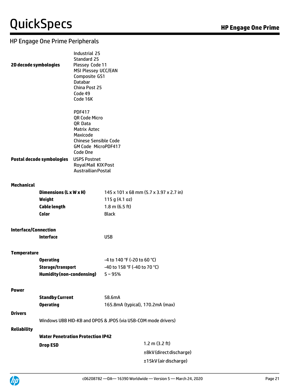### HP Engage One Prime Peripherals

| 2D decode symbologies       |                                          | Industrial 25<br>Standard 25<br>Plessey Code 11<br>MSI Plessey UCC/EAN<br>Composite GS1<br><b>Databar</b><br>China Post 25<br>Code 49<br>Code 16K                      |                                                               |                                         |
|-----------------------------|------------------------------------------|------------------------------------------------------------------------------------------------------------------------------------------------------------------------|---------------------------------------------------------------|-----------------------------------------|
|                             | Postal decode symbologies                | <b>PDF417</b><br>QR Code Micro<br>QR Data<br><b>Matrix Aztec</b><br>Maxicode<br><b>Chinese Sensible Code</b><br>GM Code MicroPDF417<br>Code One<br><b>USPS Postnet</b> |                                                               |                                         |
|                             |                                          | Royal Mail KIX Post<br><b>Austrailian Postal</b>                                                                                                                       |                                                               |                                         |
| <b>Mechanical</b>           |                                          |                                                                                                                                                                        |                                                               |                                         |
|                             | Dimensions (L x W x H)                   |                                                                                                                                                                        |                                                               | 145 x 101 x 68 mm (5.7 x 3.97 x 2.7 in) |
|                             | Weight                                   |                                                                                                                                                                        | 115 g $(4.1 oz)$                                              |                                         |
|                             | <b>Cable length</b>                      |                                                                                                                                                                        | $1.8 \text{ m}$ (6.5 ft)                                      |                                         |
|                             | Color                                    |                                                                                                                                                                        | <b>Black</b>                                                  |                                         |
| <b>Interface/Connection</b> |                                          |                                                                                                                                                                        |                                                               |                                         |
|                             | <b>Interface</b>                         |                                                                                                                                                                        | <b>USB</b>                                                    |                                         |
| <b>Temperature</b>          |                                          |                                                                                                                                                                        |                                                               |                                         |
|                             | <b>Operating</b>                         |                                                                                                                                                                        | -4 to 140 °F (-20 to 60 °C)                                   |                                         |
|                             | Storage/transport                        |                                                                                                                                                                        | -40 to 158 °F (-40 to 70 °C)                                  |                                         |
|                             | <b>Humidity (non-condensing)</b>         |                                                                                                                                                                        | $5 - 95%$                                                     |                                         |
| <b>Power</b>                |                                          |                                                                                                                                                                        |                                                               |                                         |
|                             | <b>Standby Current</b>                   |                                                                                                                                                                        | 58.6mA                                                        |                                         |
|                             | <b>Operating</b>                         |                                                                                                                                                                        | 165.8mA (typical), 170.2mA (max)                              |                                         |
| <b>Drivers</b>              |                                          |                                                                                                                                                                        |                                                               |                                         |
|                             |                                          |                                                                                                                                                                        | Windows UBB HID-KB and OPOS & JPOS (via USB-COM mode drivers) |                                         |
| <b>Reliability</b>          |                                          |                                                                                                                                                                        |                                                               |                                         |
|                             | <b>Water Penetration Protection IP42</b> |                                                                                                                                                                        |                                                               |                                         |
|                             | <b>Drop ESD</b>                          |                                                                                                                                                                        |                                                               | 1.2 m $(3.2 \text{ ft})$                |
|                             |                                          |                                                                                                                                                                        |                                                               | ±8kV (direct discharge)                 |
|                             |                                          |                                                                                                                                                                        |                                                               | ±15kV (air discharge)                   |
|                             |                                          |                                                                                                                                                                        |                                                               |                                         |

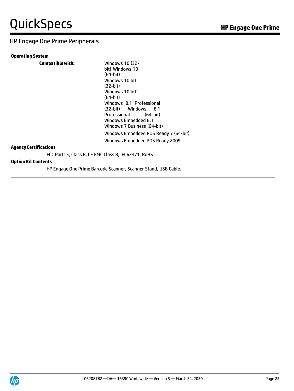## HP Engage One Prime Peripherals

| <b>Operating System</b>                             |                                                                                                                                                                                                                                                                 |
|-----------------------------------------------------|-----------------------------------------------------------------------------------------------------------------------------------------------------------------------------------------------------------------------------------------------------------------|
| <b>Compatible with:</b>                             | <b>Windows 10 (32-</b><br>bit) Windows 10<br>(64-bit)<br>Windows 10 IoT<br>$(32-bit)$<br>Windows 10 IoT<br>$(64-bit)$<br>Windows 8.1 Professional<br>(32-bit) Windows<br>8.1<br>Professional<br>(64-bit)<br>Windows Embedded 8.1<br>Windows 7 Business (64-bit) |
| <b>Agency Certifications</b>                        | Windows Embedded POS Ready 7 (64-bit)<br>Windows Embedded POS Ready 2009                                                                                                                                                                                        |
| FCC Part15, Class B, CE EMC Class B, IEC62471, RoHS |                                                                                                                                                                                                                                                                 |
| <b>Option Kit Contents</b>                          |                                                                                                                                                                                                                                                                 |

HP Engage One Prime Barcode Scanner, Scanner Stand, USB Cable.

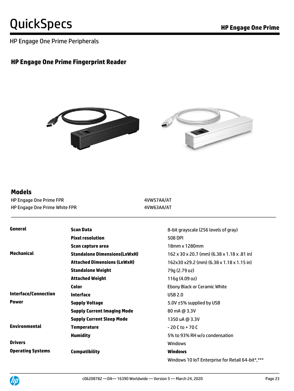HP Engage One Prime Peripherals

### **HP Engage One Prime Fingerprint Reader**



#### **Models**

HP Engage One Prime FPR **Accord 20 YO FIND 1999** 4VW57AA/AT HP Engage One Prime White FPR **Accord 19 YO 47 AW63AA/AT** 

| General                     | <b>Scan Data</b>                    | 8-bit grayscale (256 levels of gray)             |
|-----------------------------|-------------------------------------|--------------------------------------------------|
|                             | <b>Pixel resolution</b>             | <b>508 DPI</b>                                   |
|                             | Scan capture area                   | 18mm x 1280mm                                    |
| Mechanical                  | <b>Standalone Dimensions(LxWxH)</b> | 162 x 30 x 20.7 (mm) (6.38 x 1.18 x .81 in)      |
|                             | <b>Attached Dimensions (LxWxH)</b>  | 162x30 x29.2 (mm) (6.38 x 1.18 x 1.15 in)        |
|                             | <b>Standalone Weight</b>            | 79g (2.79 oz)                                    |
|                             | <b>Attached Weight</b>              | 116q (4.09 oz)                                   |
|                             | <b>Color</b>                        | <b>Ebony Black or Ceramic White</b>              |
| <b>Interface/Connection</b> | <b>Interface</b>                    | <b>USB 2.0</b>                                   |
| <b>Power</b>                | <b>Supply Voltage</b>               | 5.0V ±5% supplied by USB                         |
|                             | <b>Supply Current Imaging Mode</b>  | 80 mA @ 3.3V                                     |
|                             | <b>Supply Current Sleep Mode</b>    | 1350 uA @ 3.3V                                   |
| <b>Environmental</b>        | <b>Temperature</b>                  | $-20C$ to $+70C$                                 |
|                             | <b>Humidity</b>                     | 5% to 93% RH w/o condensation                    |
| <b>Drivers</b>              |                                     | <b>Windows</b>                                   |
| <b>Operating Systems</b>    | <b>Compatibility</b>                | <b>Windows</b>                                   |
|                             |                                     | Windows 10 IoT Enterprise for Retail 64-bit*,*** |

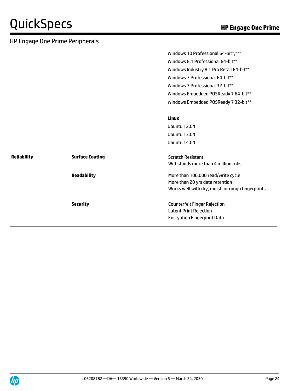|                    | <b>HP Engage One Prime Peripherals</b> |                                                   |
|--------------------|----------------------------------------|---------------------------------------------------|
|                    |                                        | Windows 10 Professional 64-bit*,***               |
|                    |                                        | Windows 8.1 Professional 64-bit**                 |
|                    |                                        | Windows Industry 8.1 Pro Retail 64-bit**          |
|                    |                                        | Windows 7 Professional 64-bit**                   |
|                    |                                        | Windows 7 Professional 32-bit**                   |
|                    |                                        | Windows Embedded POSReady 7 64-bit**              |
|                    |                                        | Windows Embedded POSReady 7 32-bit**              |
|                    |                                        | <b>Linux</b>                                      |
|                    |                                        | <b>Ubuntu 12.04</b>                               |
|                    |                                        | <b>Ubuntu 13.04</b>                               |
|                    |                                        | <b>Ubuntu 14.04</b>                               |
| <b>Reliability</b> | <b>Surface Coating</b>                 | <b>Scratch Resistant</b>                          |
|                    |                                        | Withstands more than 4 million rubs               |
|                    | <b>Readability</b>                     | More than 100,000 read/write cycle                |
|                    |                                        | More than 20 yrs data retention                   |
|                    |                                        | Works well with dry, moist, or rough fingerprints |
|                    | <b>Security</b>                        | <b>Counterfeit Finger Rejection</b>               |
|                    |                                        | <b>Latent Print Rejection</b>                     |
|                    |                                        | <b>Encryption Fingerprint Data</b>                |

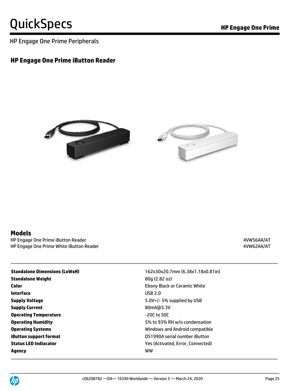HP Engage One Prime Peripherals

### **HP Engage One Prime iButton Reader**





#### **Models**

HP Engage One Prime iButton Reader 4VW56AA/AT HP Engage One Prime White iButton Reader 4VW62AA/AT

| <b>Standalone Dimensions (LxWxH)</b> | 162x30x20.7mm (6.38x1.18x0.81in)    |
|--------------------------------------|-------------------------------------|
| <b>Standalone Weight</b>             | 80q (2.82 oz)                       |
| Color                                | <b>Ebony Black or Ceramic White</b> |
| Interface                            | <b>USB 2.0</b>                      |
| <b>Supply Voltage</b>                | 5.0V+/- 5% supplied by USB          |
| <b>Supply Current</b>                | 80mA@3.3V                           |
| <b>Operating Temperature</b>         | $-20C$ to 50C                       |
| <b>Operating Humidity</b>            | 5% to 93% RH w/o condensation       |
| <b>Operating Systems</b>             | Windows and Android compatible      |
| <b>iButton support format</b>        | DS1990A serial number iButton       |
| <b>Status LED Indiacator</b>         | Yes (Activated, Error, Connected)   |
| Agency                               | ww                                  |

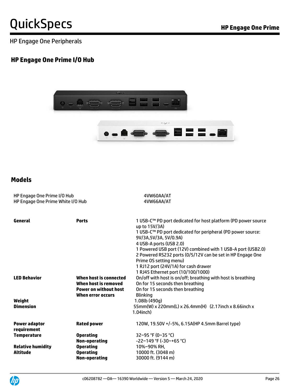HP Engage One Peripherals

### **HP Engage One Prime I/O Hub**



### **Models**

| HP Engage One Prime I/O Hub<br>HP Engage One Prime White I/O Hub |                                                                                                            | 4VW60AA/AT<br>4VW66AA/AT                                                                                                                                                                                                                                                                                                                                                                                                                |  |
|------------------------------------------------------------------|------------------------------------------------------------------------------------------------------------|-----------------------------------------------------------------------------------------------------------------------------------------------------------------------------------------------------------------------------------------------------------------------------------------------------------------------------------------------------------------------------------------------------------------------------------------|--|
| General                                                          | <b>Ports</b>                                                                                               | 1 USB-C™ PD port dedicated for host platform (PD power source<br>up to 15V/3A)<br>1 USB-C™ PD port dedicated for peripheral (PD power source:<br>9V/3A,5V/3A, 5V/0.9A)<br>4 USB-A ports (USB 2.0)<br>1 Powered USB port (12V) combined with 1 USB-A port (USB2.0)<br>2 Powered RS232 ports (0/5/12V can be set in HP Engage One<br>Prime OS setting menu)<br>1 RJ12 port (24V/1A) for cash drawer<br>1 RJ45 Ethernet port (10/100/1000) |  |
| <b>LED Behavior</b>                                              | When host is connected<br>When host is removed<br><b>Power on without host</b><br><b>When error occurs</b> | On/off with host is on/off; breathing with host is breathing<br>On for 15 seconds then breathing<br>On for 15 seconds then breathing<br><b>Blinking</b>                                                                                                                                                                                                                                                                                 |  |
| Weight<br><b>Dimension</b>                                       |                                                                                                            | 1.08lb (490q)<br>55mm(W) x 220mm(L) x 26.4mm(H) (2.17inch x 8.66inch x<br>$1.04$ inch $)$                                                                                                                                                                                                                                                                                                                                               |  |
| <b>Power adaptor</b><br>requirement                              | <b>Rated power</b>                                                                                         | 120W, 19.50V +/-5%, 6.15A(HP 4.5mm Barrel type)                                                                                                                                                                                                                                                                                                                                                                                         |  |
| <b>Temperature</b>                                               | <b>Operating</b><br>Non-operating                                                                          | 32~95 °F (0~35 °C)<br>$-22$ ~149 °F (-30~+65 °C)                                                                                                                                                                                                                                                                                                                                                                                        |  |
| <b>Relative humidity</b><br><b>Altitude</b>                      | <b>Operating</b><br><b>Operating</b><br><b>Non-operating</b>                                               | 10%~90% RH.<br>10000 ft. (3048 m)<br>30000 ft. (9144 m)                                                                                                                                                                                                                                                                                                                                                                                 |  |

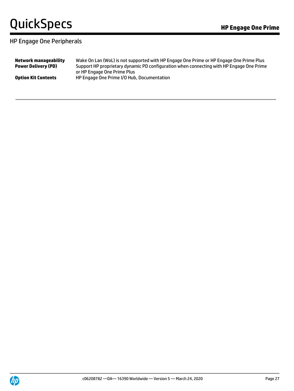### HP Engage One Peripherals

| Network manageability      | Wake On Lan (WoL) is not supported with HP Engage One Prime or HP Engage One Prime Plus  |
|----------------------------|------------------------------------------------------------------------------------------|
| <b>Power Delivery (PD)</b> | Support HP proprietary dynamic PD configuration when connecting with HP Engage One Prime |
| <b>Option Kit Contents</b> | or HP Engage One Prime Plus<br>HP Engage One Prime I/O Hub, Documentation                |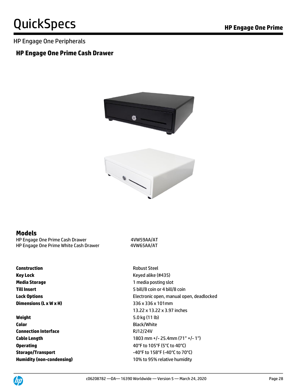#### HP Engage One Peripherals

#### **HP Engage One Prime Cash Drawer**



#### **Models**

HP Engage One Prime Cash Drawer 4VW59AA/AT HP Engage One Prime White Cash Drawer 4VW65AA/AT

**Construction** Robust Steel **Key Lock** Keyed alike (#435) **Media Storage** 1 media posting slot **Dimensions (L x W x H)** 336 x 336 x 101mm

**Weight** 5.0 kg (11 lb) **Color** Black/White **Connection Interface** RJ12/24V

**Till Insert** 5 bill/8 coin or 4 bill/8 coin **Lock Options** Electronic open, manual open, deadlocked 13.22 x 13.22 x 3.97 inches **Cable Length** 1803 mm +/- 25.4mm (71" +/- 1") **Operating COPERATION CONSTRUCTER AND THE AUTHOR OPERATION COPY** (5<sup>°</sup>C to 40<sup>°</sup>C) **Storage/Transport**  $-40^{\circ}$ F to 158°F (-40°C to 70°C) **Humidity (non-condensing)** 10% to 95% relative humidity

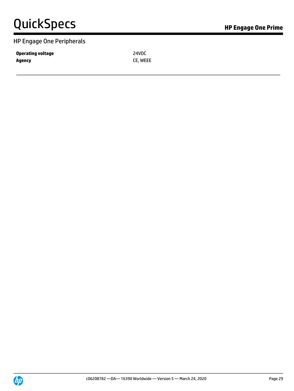#### HP Engage One Peripherals

**Operating voltage 24VDC Agency** CE, WEEE

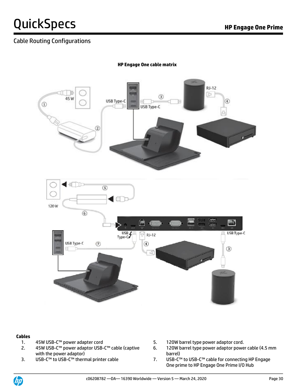### Cable Routing Configurations



**HP Engage One cable matrix**

#### **Cables**

- 
- 2. 45W USB-C™ power adaptor USB-C™ cable (captive with the power adaptor)<br>USB-C™ to USB-C™ thermal printer cable
- 
- 1. 45W USB-C™ power adapter cord 5. 120W barrel type power adaptor cord.
	- 6. 120W barrel type power adaptor power cable (4.5 mm barrel)
- 3. USB-C™ to USB-C™ thermal printer cable 7. USB-C™ to USB-C™ cable for connecting HP Engage One prime to HP Engage One Prime I/O Hub

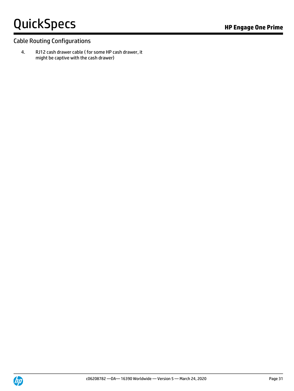### Cable Routing Configurations

4. RJ12 cash drawer cable ( for some HP cash drawer, it might be captive with the cash drawer)

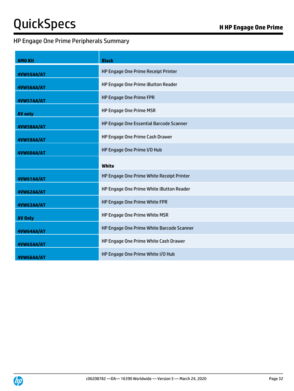### HP Engage One Prime Peripherals Summary

| <b>AMO Kit</b> | <b>Black</b>                              |  |
|----------------|-------------------------------------------|--|
| 4VW55AA/AT     | HP Engage One Prime Receipt Printer       |  |
| 4VW56AA/AT     | HP Engage One Prime iButton Reader        |  |
| 4VW57AA/AT     | HP Engage One Prime FPR                   |  |
| <b>AV only</b> | HP Engage One Prime MSR                   |  |
| 4VW58AA/AT     | HP Engage One Essential Barcode Scanner   |  |
| 4VW59AA/AT     | HP Engage One Prime Cash Drawer           |  |
| 4VW60AA/AT     | HP Engage One Prime I/O Hub               |  |
|                | White                                     |  |
| 4VW61AA/AT     | HP Engage One Prime White Receipt Printer |  |
| 4VW62AA/AT     | HP Engage One Prime White iButton Reader  |  |
| 4VW63AA/AT     | HP Engage One Prime White FPR             |  |
| <b>AV Only</b> | HP Engage One Prime White MSR             |  |
| 4VW64AA/AT     | HP Engage One Prime White Barcode Scanner |  |
| 4VW65AA/AT     | HP Engage One Prime White Cash Drawer     |  |
| 4VW66AA/AT     | HP Engage One Prime White I/O Hub         |  |

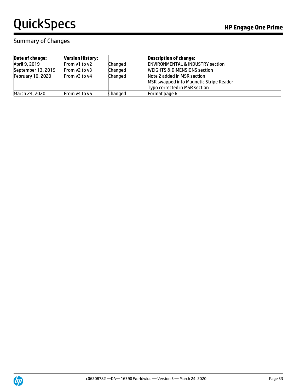## Summary of Changes

| <b>Date of change:</b>   | <b>Version History:</b> |                | <b>Description of change:</b>                                                                           |
|--------------------------|-------------------------|----------------|---------------------------------------------------------------------------------------------------------|
| April 9, 2019            | From v1 to v2           | <b>Changed</b> | <b>ENVIRONMENTAL &amp; INDUSTRY section</b>                                                             |
| September 13, 2019       | From $v2$ to $v3$       | <b>Changed</b> | <b>WEIGHTS &amp; DIMENSIONS section</b>                                                                 |
| <b>February 10, 2020</b> | From v3 to v4           | <b>Changed</b> | Note 2 added in MSR section<br>MSR swapped into Magnetic Stripe Reader<br>Typo corrected in MSR section |
| March 24, 2020           | From v4 to v5           | <b>Changed</b> | Format page 6                                                                                           |